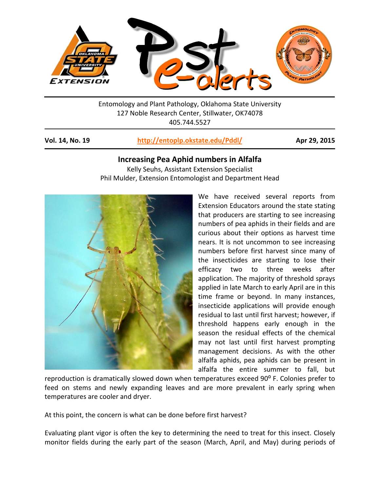

Entomology and Plant Pathology, Oklahoma State University 127 Noble Research Center, Stillwater, OK74078 405.744.5527

## **Vol. 14, No. 19 <http://entoplp.okstate.edu/Pddl/> Apr 29, 2015**

## **Increasing Pea Aphid numbers in Alfalfa**

Kelly Seuhs, Assistant Extension Specialist Phil Mulder, Extension Entomologist and Department Head



We have received several reports from Extension Educators around the state stating that producers are starting to see increasing numbers of pea aphids in their fields and are curious about their options as harvest time nears. It is not uncommon to see increasing numbers before first harvest since many of the insecticides are starting to lose their efficacy two to three weeks after application. The majority of threshold sprays applied in late March to early April are in this time frame or beyond. In many instances, insecticide applications will provide enough residual to last until first harvest; however, if threshold happens early enough in the season the residual effects of the chemical may not last until first harvest prompting management decisions. As with the other alfalfa aphids, pea aphids can be present in alfalfa the entire summer to fall, but

reproduction is dramatically slowed down when temperatures exceed 90° F. Colonies prefer to feed on stems and newly expanding leaves and are more prevalent in early spring when temperatures are cooler and dryer.

At this point, the concern is what can be done before first harvest?

Evaluating plant vigor is often the key to determining the need to treat for this insect. Closely monitor fields during the early part of the season (March, April, and May) during periods of